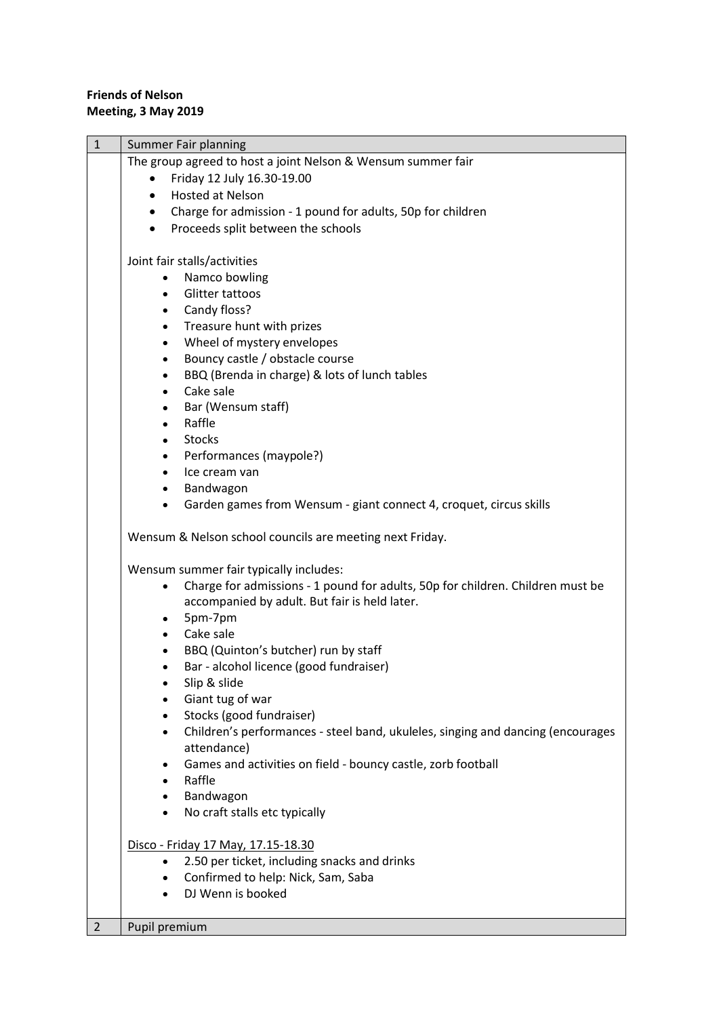## **Friends of Nelson Meeting, 3 May 2019**

| $\mathbf{1}$   | Summer Fair planning                                                            |
|----------------|---------------------------------------------------------------------------------|
|                | The group agreed to host a joint Nelson & Wensum summer fair                    |
|                | Friday 12 July 16.30-19.00                                                      |
|                | <b>Hosted at Nelson</b><br>$\bullet$                                            |
|                | Charge for admission - 1 pound for adults, 50p for children<br>٠                |
|                | Proceeds split between the schools<br>$\bullet$                                 |
|                |                                                                                 |
|                | Joint fair stalls/activities                                                    |
|                | Namco bowling                                                                   |
|                | Glitter tattoos                                                                 |
|                | Candy floss?<br>٠                                                               |
|                | Treasure hunt with prizes<br>$\bullet$                                          |
|                | Wheel of mystery envelopes<br>$\bullet$                                         |
|                | Bouncy castle / obstacle course<br>$\bullet$                                    |
|                | BBQ (Brenda in charge) & lots of lunch tables                                   |
|                | Cake sale                                                                       |
|                | Bar (Wensum staff)                                                              |
|                | Raffle                                                                          |
|                | <b>Stocks</b>                                                                   |
|                | Performances (maypole?)<br>$\bullet$                                            |
|                | Ice cream van<br>$\bullet$                                                      |
|                | Bandwagon<br>$\bullet$                                                          |
|                | Garden games from Wensum - giant connect 4, croquet, circus skills              |
|                |                                                                                 |
|                | Wensum & Nelson school councils are meeting next Friday.                        |
|                | Wensum summer fair typically includes:                                          |
|                | Charge for admissions - 1 pound for adults, 50p for children. Children must be  |
|                | accompanied by adult. But fair is held later.                                   |
|                | 5pm-7pm<br>$\bullet$                                                            |
|                | Cake sale                                                                       |
|                | BBQ (Quinton's butcher) run by staff                                            |
|                | Bar - alcohol licence (good fundraiser)                                         |
|                | Slip & slide                                                                    |
|                | Giant tug of war                                                                |
|                | Stocks (good fundraiser)                                                        |
|                | Children's performances - steel band, ukuleles, singing and dancing (encourages |
|                | attendance)                                                                     |
|                | Games and activities on field - bouncy castle, zorb football                    |
|                | Raffle                                                                          |
|                | Bandwagon                                                                       |
|                | ٠                                                                               |
|                | No craft stalls etc typically<br>$\bullet$                                      |
|                | Disco - Friday 17 May, 17.15-18.30                                              |
|                | 2.50 per ticket, including snacks and drinks                                    |
|                | Confirmed to help: Nick, Sam, Saba<br>$\bullet$                                 |
|                | DJ Wenn is booked                                                               |
|                |                                                                                 |
| $\overline{2}$ | Pupil premium                                                                   |